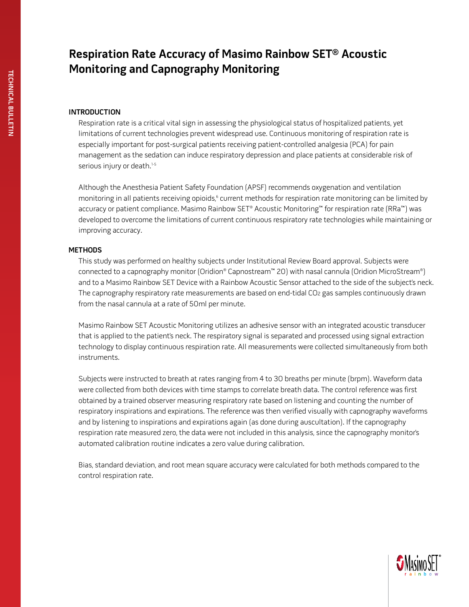# **Respiration Rate Accuracy of Masimo Rainbow SET® Acoustic Monitoring and Capnography Monitoring**

## **Introduction**

Respiration rate is a critical vital sign in assessing the physiological status of hospitalized patients, yet limitations of current technologies prevent widespread use. Continuous monitoring of respiration rate is especially important for post-surgical patients receiving patient-controlled analgesia (PCA) for pain management as the sedation can induce respiratory depression and place patients at considerable risk of serious injury or death.<sup>1-5</sup>

Although the Anesthesia Patient Safety Foundation (APSF) recommends oxygenation and ventilation monitoring in all patients receiving opioids,<sup>6</sup> current methods for respiration rate monitoring can be limited by accuracy or patient compliance. Masimo Rainbow SET® Acoustic Monitoring™ for respiration rate (RRa™) was developed to overcome the limitations of current continuous respiratory rate technologies while maintaining or improving accuracy.

#### **Methods**

This study was performed on healthy subjects under Institutional Review Board approval. Subjects were connected to a capnography monitor (Oridion® Capnostream™ 20) with nasal cannula (Oridion MicroStream®) and to a Masimo Rainbow SET Device with a Rainbow Acoustic Sensor attached to the side of the subject's neck. The capnography respiratory rate measurements are based on end-tidal CO2 gas samples continuously drawn from the nasal cannula at a rate of 50ml per minute.

Masimo Rainbow SET Acoustic Monitoring utilizes an adhesive sensor with an integrated acoustic transducer that is applied to the patient's neck. The respiratory signal is separated and processed using signal extraction technology to display continuous respiration rate. All measurements were collected simultaneously from both instruments.

Subjects were instructed to breath at rates ranging from 4 to 30 breaths per minute (brpm). Waveform data were collected from both devices with time stamps to correlate breath data. The control reference was first obtained by a trained observer measuring respiratory rate based on listening and counting the number of respiratory inspirations and expirations. The reference was then verified visually with capnography waveforms and by listening to inspirations and expirations again (as done during auscultation). If the capnography respiration rate measured zero, the data were not included in this analysis, since the capnography monitor's automated calibration routine indicates a zero value during calibration.

Bias, standard deviation, and root mean square accuracy were calculated for both methods compared to the control respiration rate.

**Technical bulle TECHNICAL BULLETIN**